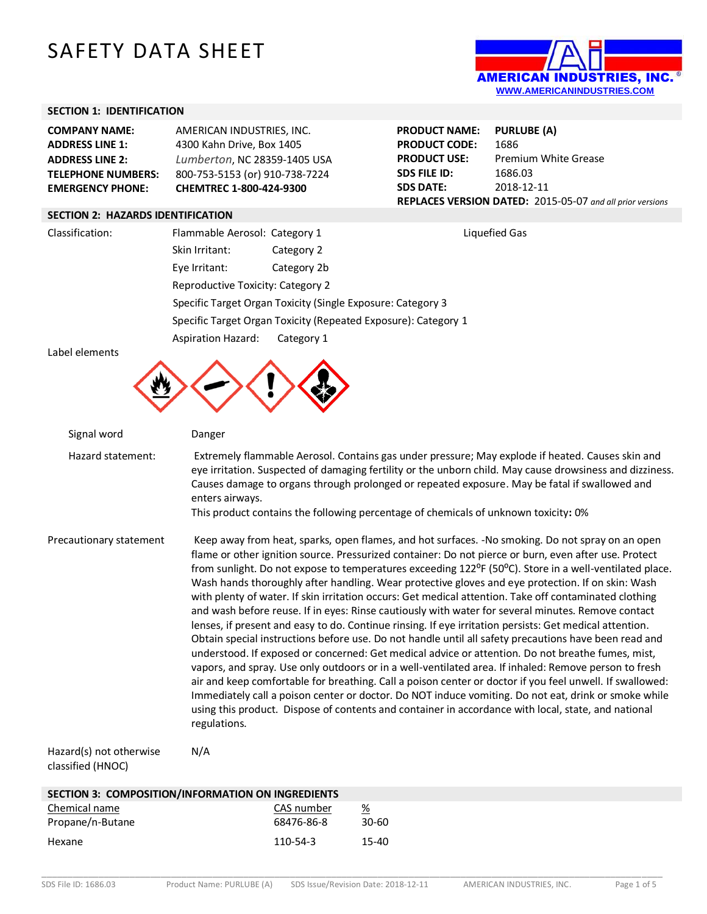# SAFETY DATA SHEET



## **SECTION 1: IDENTIFICATION**

| <b>COMPANY NAME:</b>      | AMERICAN INDUSTRIES, INC.      |
|---------------------------|--------------------------------|
| <b>ADDRESS LINE 1:</b>    | 4300 Kahn Drive, Box 1405      |
| <b>ADDRESS LINE 2:</b>    | Lumberton, NC 28359-1405 USA   |
| <b>TELEPHONE NUMBERS:</b> | 800-753-5153 (or) 910-738-7224 |
| <b>EMERGENCY PHONE:</b>   | CHEMTREC 1-800-424-9300        |

| <b>PRODUCT NAME:</b>                                      | <b>PURLUBE (A)</b>          |  |
|-----------------------------------------------------------|-----------------------------|--|
| <b>PRODUCT CODE:</b>                                      | 1686                        |  |
| <b>PRODUCT USE:</b>                                       | <b>Premium White Grease</b> |  |
| SDS FILE ID:                                              | 1686.03                     |  |
| <b>SDS DATE:</b>                                          | 2018-12-11                  |  |
| REPLACES VERSION DATED: 2015-05-07 and all prior versions |                             |  |

#### **SECTION 2: HAZARDS IDENTIFICATION**

| Classification: | Flammable Aerosol: Category 1            |                                                                | Liquefied Gas |
|-----------------|------------------------------------------|----------------------------------------------------------------|---------------|
|                 | Skin Irritant:                           | Category 2                                                     |               |
|                 | Eye Irritant:                            | Category 2b                                                    |               |
|                 | <b>Reproductive Toxicity: Category 2</b> |                                                                |               |
|                 |                                          | Specific Target Organ Toxicity (Single Exposure: Category 3    |               |
|                 |                                          | Specific Target Organ Toxicity (Repeated Exposure): Category 1 |               |
|                 | <b>Aspiration Hazard:</b>                | Category 1                                                     |               |

Label elements



| Signal word             | Danger                                                                                                                                                                                                                                                                                                                                                                                                                                                                                                                                                                                                                                                                                                                                                                                                                                                                                                                                                                                                                                                                                                                                                                                                                                                                                                                                                                                                                                          |
|-------------------------|-------------------------------------------------------------------------------------------------------------------------------------------------------------------------------------------------------------------------------------------------------------------------------------------------------------------------------------------------------------------------------------------------------------------------------------------------------------------------------------------------------------------------------------------------------------------------------------------------------------------------------------------------------------------------------------------------------------------------------------------------------------------------------------------------------------------------------------------------------------------------------------------------------------------------------------------------------------------------------------------------------------------------------------------------------------------------------------------------------------------------------------------------------------------------------------------------------------------------------------------------------------------------------------------------------------------------------------------------------------------------------------------------------------------------------------------------|
| Hazard statement:       | Extremely flammable Aerosol. Contains gas under pressure; May explode if heated. Causes skin and<br>eye irritation. Suspected of damaging fertility or the unborn child. May cause drowsiness and dizziness.<br>Causes damage to organs through prolonged or repeated exposure. May be fatal if swallowed and<br>enters airways.<br>This product contains the following percentage of chemicals of unknown toxicity: 0%                                                                                                                                                                                                                                                                                                                                                                                                                                                                                                                                                                                                                                                                                                                                                                                                                                                                                                                                                                                                                         |
| Precautionary statement | Keep away from heat, sparks, open flames, and hot surfaces. -No smoking. Do not spray on an open<br>flame or other ignition source. Pressurized container: Do not pierce or burn, even after use. Protect<br>from sunlight. Do not expose to temperatures exceeding 122 <sup>o</sup> F (50 <sup>o</sup> C). Store in a well-ventilated place.<br>Wash hands thoroughly after handling. Wear protective gloves and eye protection. If on skin: Wash<br>with plenty of water. If skin irritation occurs: Get medical attention. Take off contaminated clothing<br>and wash before reuse. If in eyes: Rinse cautiously with water for several minutes. Remove contact<br>lenses, if present and easy to do. Continue rinsing. If eye irritation persists: Get medical attention.<br>Obtain special instructions before use. Do not handle until all safety precautions have been read and<br>understood. If exposed or concerned: Get medical advice or attention. Do not breathe fumes, mist,<br>vapors, and spray. Use only outdoors or in a well-ventilated area. If inhaled: Remove person to fresh<br>air and keep comfortable for breathing. Call a poison center or doctor if you feel unwell. If swallowed:<br>Immediately call a poison center or doctor. Do NOT induce vomiting. Do not eat, drink or smoke while<br>using this product. Dispose of contents and container in accordance with local, state, and national<br>regulations. |
| Hazard(s) not otherwise | N/A                                                                                                                                                                                                                                                                                                                                                                                                                                                                                                                                                                                                                                                                                                                                                                                                                                                                                                                                                                                                                                                                                                                                                                                                                                                                                                                                                                                                                                             |

#### Hazard(s) not otherwise classified (HNOC)

| SECTION 3: COMPOSITION/INFORMATION ON INGREDIENTS |                |       |
|---------------------------------------------------|----------------|-------|
| Chemical name                                     | CAS number     | %     |
| Propane/n-Butane                                  | 68476-86-8     | 30-60 |
| Hexane                                            | $110 - 54 - 3$ | 15-40 |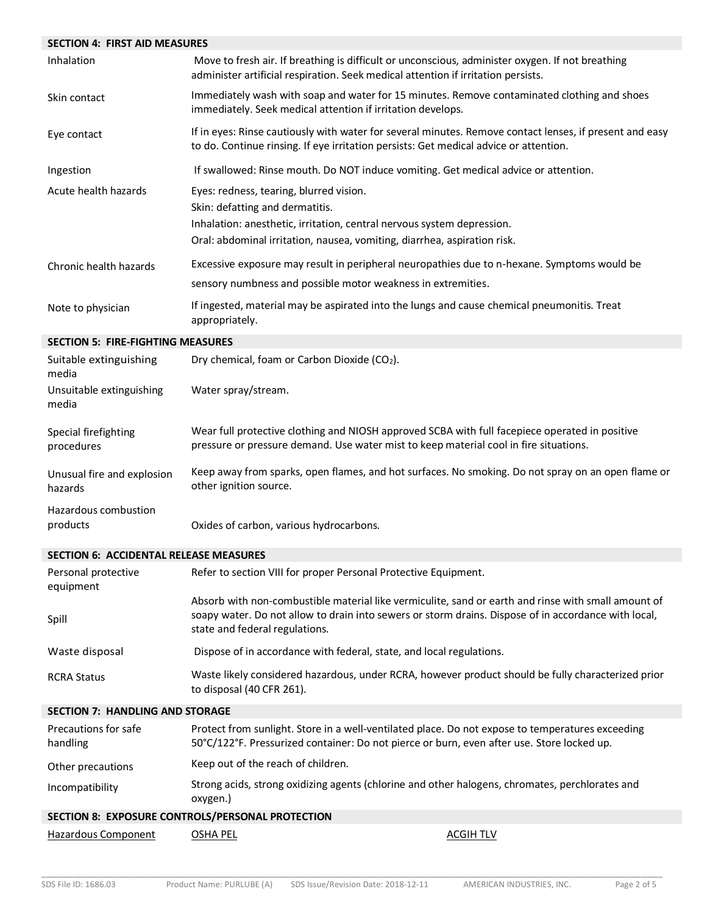| <b>SECTION 4: FIRST AID MEASURES</b>     |                                                                                                                                                                                                                                               |
|------------------------------------------|-----------------------------------------------------------------------------------------------------------------------------------------------------------------------------------------------------------------------------------------------|
| Inhalation                               | Move to fresh air. If breathing is difficult or unconscious, administer oxygen. If not breathing<br>administer artificial respiration. Seek medical attention if irritation persists.                                                         |
| Skin contact                             | Immediately wash with soap and water for 15 minutes. Remove contaminated clothing and shoes<br>immediately. Seek medical attention if irritation develops.                                                                                    |
| Eye contact                              | If in eyes: Rinse cautiously with water for several minutes. Remove contact lenses, if present and easy<br>to do. Continue rinsing. If eye irritation persists: Get medical advice or attention.                                              |
| Ingestion                                | If swallowed: Rinse mouth. Do NOT induce vomiting. Get medical advice or attention.                                                                                                                                                           |
| Acute health hazards                     | Eyes: redness, tearing, blurred vision.<br>Skin: defatting and dermatitis.<br>Inhalation: anesthetic, irritation, central nervous system depression.<br>Oral: abdominal irritation, nausea, vomiting, diarrhea, aspiration risk.              |
| Chronic health hazards                   | Excessive exposure may result in peripheral neuropathies due to n-hexane. Symptoms would be                                                                                                                                                   |
|                                          | sensory numbness and possible motor weakness in extremities.                                                                                                                                                                                  |
| Note to physician                        | If ingested, material may be aspirated into the lungs and cause chemical pneumonitis. Treat<br>appropriately.                                                                                                                                 |
| <b>SECTION 5: FIRE-FIGHTING MEASURES</b> |                                                                                                                                                                                                                                               |
| Suitable extinguishing<br>media          | Dry chemical, foam or Carbon Dioxide (CO2).                                                                                                                                                                                                   |
| Unsuitable extinguishing<br>media        | Water spray/stream.                                                                                                                                                                                                                           |
| Special firefighting<br>procedures       | Wear full protective clothing and NIOSH approved SCBA with full facepiece operated in positive<br>pressure or pressure demand. Use water mist to keep material cool in fire situations.                                                       |
| Unusual fire and explosion<br>hazards    | Keep away from sparks, open flames, and hot surfaces. No smoking. Do not spray on an open flame or<br>other ignition source.                                                                                                                  |
| Hazardous combustion<br>products         | Oxides of carbon, various hydrocarbons.                                                                                                                                                                                                       |
| SECTION 6: ACCIDENTAL RELEASE MEASURES   |                                                                                                                                                                                                                                               |
| Personal protective<br>equipment         | Refer to section VIII for proper Personal Protective Equipment.                                                                                                                                                                               |
| Spill                                    | Absorb with non-combustible material like vermiculite, sand or earth and rinse with small amount of<br>soapy water. Do not allow to drain into sewers or storm drains. Dispose of in accordance with local,<br>state and federal regulations. |
| Waste disposal                           | Dispose of in accordance with federal, state, and local regulations.                                                                                                                                                                          |
| <b>RCRA Status</b>                       | Waste likely considered hazardous, under RCRA, however product should be fully characterized prior<br>to disposal (40 CFR 261).                                                                                                               |
| <b>SECTION 7: HANDLING AND STORAGE</b>   |                                                                                                                                                                                                                                               |
| Precautions for safe<br>handling         | Protect from sunlight. Store in a well-ventilated place. Do not expose to temperatures exceeding<br>50°C/122°F. Pressurized container: Do not pierce or burn, even after use. Store locked up.                                                |
| Other precautions                        | Keep out of the reach of children.                                                                                                                                                                                                            |
| Incompatibility                          | Strong acids, strong oxidizing agents (chlorine and other halogens, chromates, perchlorates and<br>oxygen.)                                                                                                                                   |
|                                          | SECTION 8: EXPOSURE CONTROLS/PERSONAL PROTECTION                                                                                                                                                                                              |
| <b>Hazardous Component</b>               | <b>OSHA PEL</b><br><b>ACGIH TLV</b>                                                                                                                                                                                                           |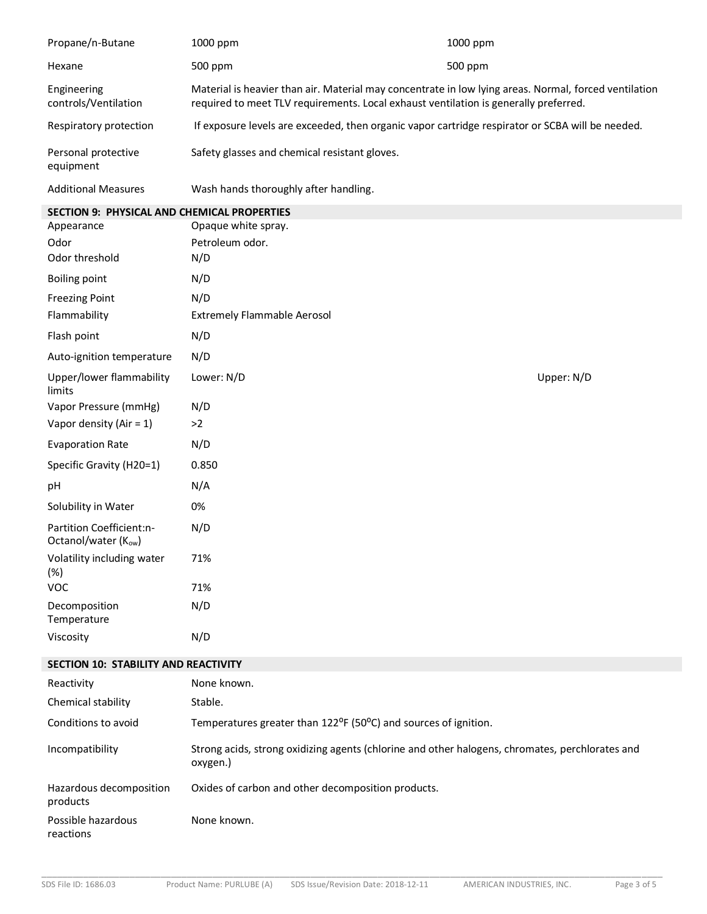| Propane/n-Butane                                   | 1000 ppm                                                                                                                                                                                      | 1000 ppm |            |
|----------------------------------------------------|-----------------------------------------------------------------------------------------------------------------------------------------------------------------------------------------------|----------|------------|
| Hexane                                             | 500 ppm                                                                                                                                                                                       | 500 ppm  |            |
| Engineering<br>controls/Ventilation                | Material is heavier than air. Material may concentrate in low lying areas. Normal, forced ventilation<br>required to meet TLV requirements. Local exhaust ventilation is generally preferred. |          |            |
| Respiratory protection                             | If exposure levels are exceeded, then organic vapor cartridge respirator or SCBA will be needed.                                                                                              |          |            |
| Personal protective<br>equipment                   | Safety glasses and chemical resistant gloves.                                                                                                                                                 |          |            |
| <b>Additional Measures</b>                         | Wash hands thoroughly after handling.                                                                                                                                                         |          |            |
| <b>SECTION 9: PHYSICAL AND CHEMICAL PROPERTIES</b> |                                                                                                                                                                                               |          |            |
| Appearance                                         | Opaque white spray.                                                                                                                                                                           |          |            |
| Odor                                               | Petroleum odor.                                                                                                                                                                               |          |            |
| Odor threshold                                     | N/D                                                                                                                                                                                           |          |            |
| <b>Boiling point</b>                               | N/D                                                                                                                                                                                           |          |            |
| <b>Freezing Point</b>                              | N/D                                                                                                                                                                                           |          |            |
| Flammability                                       | <b>Extremely Flammable Aerosol</b>                                                                                                                                                            |          |            |
| Flash point                                        | N/D                                                                                                                                                                                           |          |            |
| Auto-ignition temperature                          | N/D                                                                                                                                                                                           |          |            |
| Upper/lower flammability<br>limits                 | Lower: N/D                                                                                                                                                                                    |          | Upper: N/D |
| Vapor Pressure (mmHg)                              | N/D                                                                                                                                                                                           |          |            |
| Vapor density (Air = $1$ )                         | >2                                                                                                                                                                                            |          |            |
| <b>Evaporation Rate</b>                            | N/D                                                                                                                                                                                           |          |            |
| Specific Gravity (H20=1)                           | 0.850                                                                                                                                                                                         |          |            |
| pH                                                 | N/A                                                                                                                                                                                           |          |            |
| Solubility in Water                                | 0%                                                                                                                                                                                            |          |            |
| Partition Coefficient:n-<br>Octanol/water (Kow)    | N/D                                                                                                                                                                                           |          |            |
| Volatility including water<br>(%)                  | 71%                                                                                                                                                                                           |          |            |
| <b>VOC</b>                                         | 71%                                                                                                                                                                                           |          |            |
| Decomposition<br>Temperature                       | N/D                                                                                                                                                                                           |          |            |
| Viscosity                                          | N/D                                                                                                                                                                                           |          |            |
| SECTION 10: STABILITY AND REACTIVITY               |                                                                                                                                                                                               |          |            |
| Reactivity                                         | None known.                                                                                                                                                                                   |          |            |

| Reactivity                          | inone known.                                                                                                |
|-------------------------------------|-------------------------------------------------------------------------------------------------------------|
| Chemical stability                  | Stable.                                                                                                     |
| Conditions to avoid                 | Temperatures greater than $122^{\circ}F$ (50 $^{\circ}C$ ) and sources of ignition.                         |
| Incompatibility                     | Strong acids, strong oxidizing agents (chlorine and other halogens, chromates, perchlorates and<br>oxygen.) |
| Hazardous decomposition<br>products | Oxides of carbon and other decomposition products.                                                          |
| Possible hazardous<br>reactions     | None known.                                                                                                 |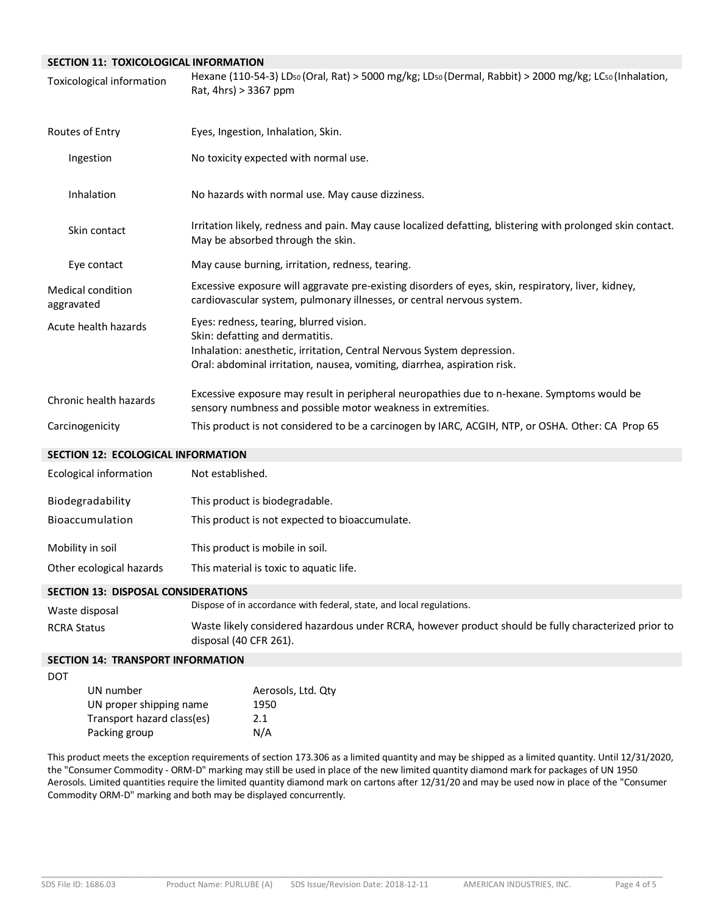## **SECTION 11: TOXICOLOGICAL INFORMATION**

| <b>Toxicological information</b>   | Hexane (110-54-3) LDso (Oral, Rat) > 5000 mg/kg; LDso (Dermal, Rabbit) > 2000 mg/kg; LCso (Inhalation,<br>Rat, 4hrs) > 3367 ppm                                                                                                  |
|------------------------------------|----------------------------------------------------------------------------------------------------------------------------------------------------------------------------------------------------------------------------------|
| Routes of Entry                    | Eyes, Ingestion, Inhalation, Skin.                                                                                                                                                                                               |
| Ingestion                          | No toxicity expected with normal use.                                                                                                                                                                                            |
| Inhalation                         | No hazards with normal use. May cause dizziness.                                                                                                                                                                                 |
| Skin contact                       | Irritation likely, redness and pain. May cause localized defatting, blistering with prolonged skin contact.<br>May be absorbed through the skin.                                                                                 |
| Eye contact                        | May cause burning, irritation, redness, tearing.                                                                                                                                                                                 |
| Medical condition<br>aggravated    | Excessive exposure will aggravate pre-existing disorders of eyes, skin, respiratory, liver, kidney,<br>cardiovascular system, pulmonary illnesses, or central nervous system.                                                    |
| Acute health hazards               | Eyes: redness, tearing, blurred vision.<br>Skin: defatting and dermatitis.<br>Inhalation: anesthetic, irritation, Central Nervous System depression.<br>Oral: abdominal irritation, nausea, vomiting, diarrhea, aspiration risk. |
| Chronic health hazards             | Excessive exposure may result in peripheral neuropathies due to n-hexane. Symptoms would be<br>sensory numbness and possible motor weakness in extremities.                                                                      |
| Carcinogenicity                    | This product is not considered to be a carcinogen by IARC, ACGIH, NTP, or OSHA. Other: CA Prop 65                                                                                                                                |
| SECTION 12: ECOLOGICAL INFORMATION |                                                                                                                                                                                                                                  |
| <b>Ecological information</b>      | Not established.                                                                                                                                                                                                                 |
| Biodegradability                   | This product is biodegradable.                                                                                                                                                                                                   |
| Bioaccumulation                    | This product is not expected to bioaccumulate.                                                                                                                                                                                   |

Mobility in soil This product is mobile in soil.

Other ecological hazards This material is toxic to aquatic life.

#### **SECTION 13: DISPOSAL CONSIDERATIONS**

| Waste disposal     | Dispose of in accordance with federal, state, and local regulations.                                                           |
|--------------------|--------------------------------------------------------------------------------------------------------------------------------|
| <b>RCRA Status</b> | Waste likely considered hazardous under RCRA, however product should be fully characterized prior to<br>disposal (40 CFR 261). |

## **SECTION 14: TRANSPORT INFORMATION**

| UN number                  | Aerosols, Ltd. Qtv |
|----------------------------|--------------------|
| UN proper shipping name    | 1950               |
| Transport hazard class(es) | 2.1                |
| Packing group              | N/A                |

This product meets the exception requirements of section 173.306 as a limited quantity and may be shipped as a limited quantity. Until 12/31/2020, the "Consumer Commodity - ORM-D" marking may still be used in place of the new limited quantity diamond mark for packages of UN 1950 Aerosols. Limited quantities require the limited quantity diamond mark on cartons after 12/31/20 and may be used now in place of the "Consumer Commodity ORM-D" marking and both may be displayed concurrently.